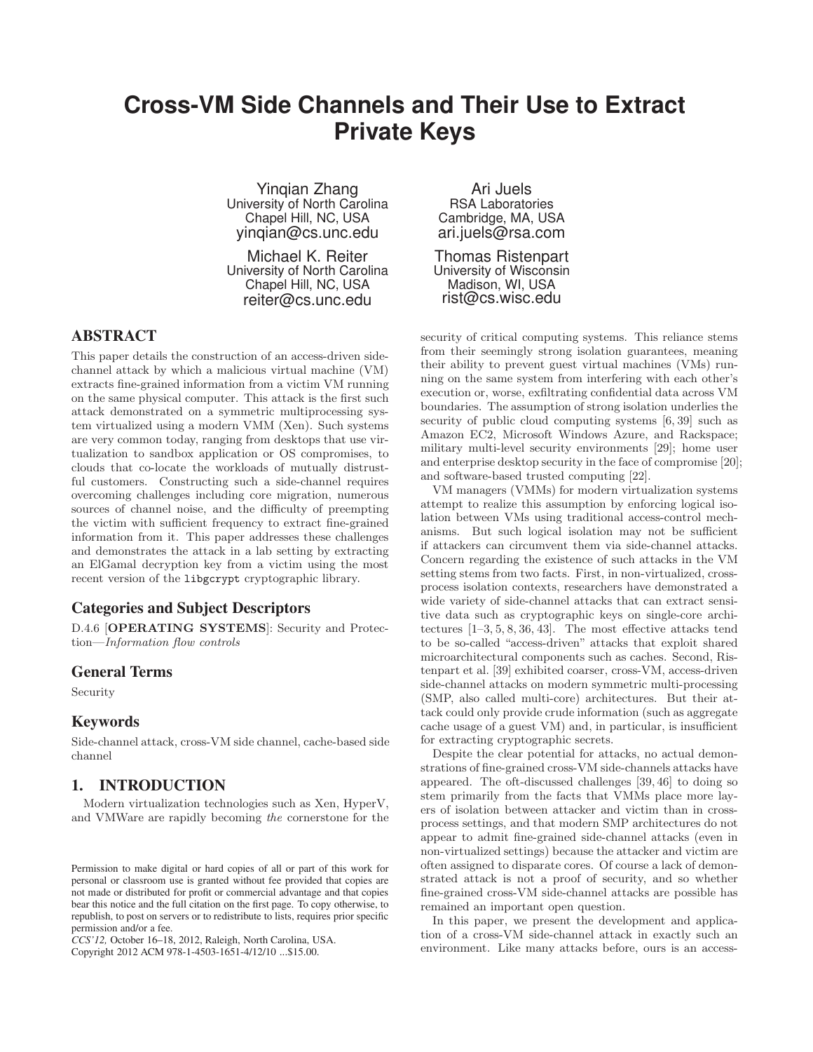# **Cross-VM Side Channels and Their Use to Extract Private Keys**

Yinqian Zhang University of North Carolina Chapel Hill, NC, USA yinqian@cs.unc.edu

Michael K. Reiter University of North Carolina Chapel Hill, NC, USA reiter@cs.unc.edu

# **ABSTRACT**

This paper details the construction of an access-driven sidechannel attack by which a malicious virtual machine (VM) extracts fine-grained information from a victim VM running on the same physical computer. This attack is the first such attack demonstrated on a symmetric multiprocessing system virtualized using a modern VMM (Xen). Such systems are very common today, ranging from desktops that use virtualization to sandbox application or OS compromises, to clouds that co-locate the workloads of mutually distrustful customers. Constructing such a side-channel requires overcoming challenges including core migration, numerous sources of channel noise, and the difficulty of preempting the victim with sufficient frequency to extract fine-grained information from it. This paper addresses these challenges and demonstrates the attack in a lab setting by extracting an ElGamal decryption key from a victim using the most recent version of the libgcrypt cryptographic library.

# **Categories and Subject Descriptors**

D.4.6 [OPERATING SYSTEMS]: Security and Protection—*Information flow controls*

# **General Terms**

Security

#### **Keywords**

Side-channel attack, cross-VM side channel, cache-based side channel

# **1. INTRODUCTION**

Modern virtualization technologies such as Xen, HyperV, and VMWare are rapidly becoming *the* cornerstone for the

*CCS'12,* October 16–18, 2012, Raleigh, North Carolina, USA. Copyright 2012 ACM 978-1-4503-1651-4/12/10 ...\$15.00.

Ari Juels RSA Laboratories Cambridge, MA, USA ari.juels@rsa.com

Thomas Ristenpart University of Wisconsin Madison, WI, USA rist@cs.wisc.edu

security of critical computing systems. This reliance stems from their seemingly strong isolation guarantees, meaning their ability to prevent guest virtual machines (VMs) running on the same system from interfering with each other's execution or, worse, exfiltrating confidential data across VM boundaries. The assumption of strong isolation underlies the security of public cloud computing systems [6, 39] such as Amazon EC2, Microsoft Windows Azure, and Rackspace; military multi-level security environments [29]; home user and enterprise desktop security in the face of compromise [20]; and software-based trusted computing [22].

VM managers (VMMs) for modern virtualization systems attempt to realize this assumption by enforcing logical isolation between VMs using traditional access-control mechanisms. But such logical isolation may not be sufficient if attackers can circumvent them via side-channel attacks. Concern regarding the existence of such attacks in the VM setting stems from two facts. First, in non-virtualized, crossprocess isolation contexts, researchers have demonstrated a wide variety of side-channel attacks that can extract sensitive data such as cryptographic keys on single-core architectures [1–3, 5, 8, 36, 43]. The most effective attacks tend to be so-called "access-driven" attacks that exploit shared microarchitectural components such as caches. Second, Ristenpart et al. [39] exhibited coarser, cross-VM, access-driven side-channel attacks on modern symmetric multi-processing (SMP, also called multi-core) architectures. But their attack could only provide crude information (such as aggregate cache usage of a guest VM) and, in particular, is insufficient for extracting cryptographic secrets.

Despite the clear potential for attacks, no actual demonstrations of fine-grained cross-VM side-channels attacks have appeared. The oft-discussed challenges [39, 46] to doing so stem primarily from the facts that VMMs place more layers of isolation between attacker and victim than in crossprocess settings, and that modern SMP architectures do not appear to admit fine-grained side-channel attacks (even in non-virtualized settings) because the attacker and victim are often assigned to disparate cores. Of course a lack of demonstrated attack is not a proof of security, and so whether fine-grained cross-VM side-channel attacks are possible has remained an important open question.

In this paper, we present the development and application of a cross-VM side-channel attack in exactly such an environment. Like many attacks before, ours is an access-

Permission to make digital or hard copies of all or part of this work for personal or classroom use is granted without fee provided that copies are not made or distributed for profit or commercial advantage and that copies bear this notice and the full citation on the first page. To copy otherwise, to republish, to post on servers or to redistribute to lists, requires prior specific permission and/or a fee.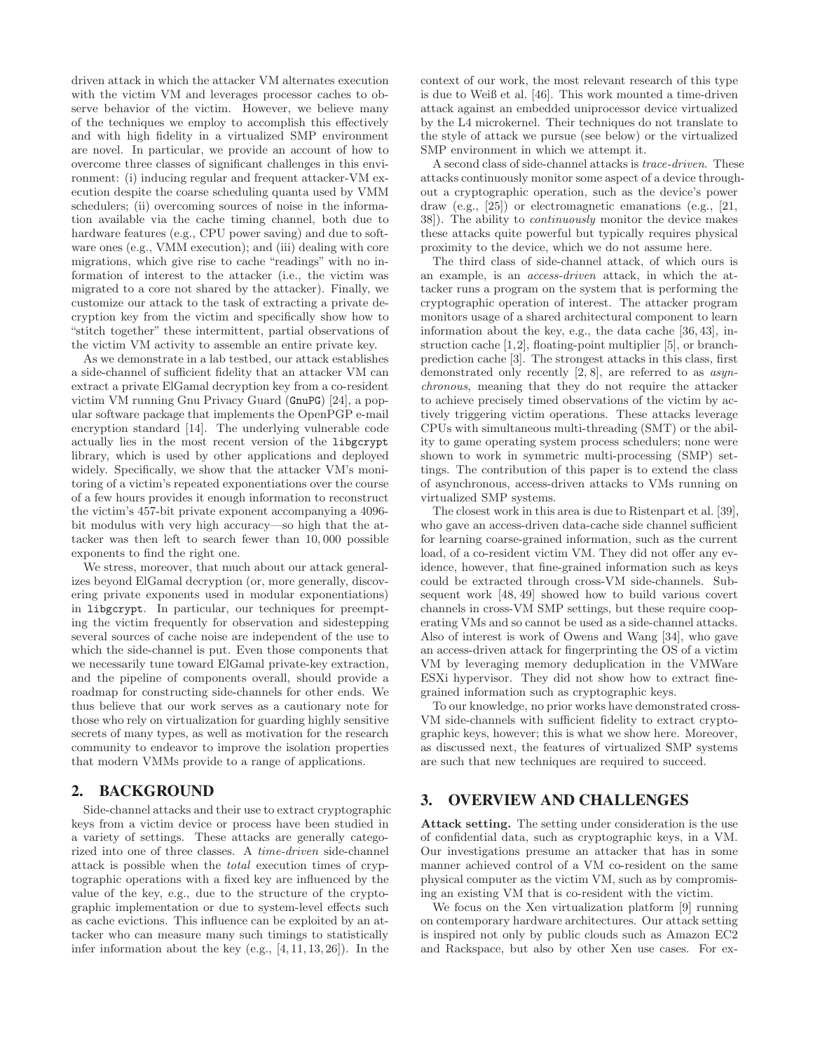driven attack in which the attacker VM alternates execution with the victim VM and leverages processor caches to observe behavior of the victim. However, we believe many of the techniques we employ to accomplish this effectively and with high fidelity in a virtualized SMP environment are novel. In particular, we provide an account of how to overcome three classes of significant challenges in this environment: (i) inducing regular and frequent attacker-VM execution despite the coarse scheduling quanta used by VMM schedulers; (ii) overcoming sources of noise in the information available via the cache timing channel, both due to hardware features (e.g., CPU power saving) and due to software ones (e.g., VMM execution); and (iii) dealing with core migrations, which give rise to cache "readings" with no information of interest to the attacker (i.e., the victim was migrated to a core not shared by the attacker). Finally, we customize our attack to the task of extracting a private decryption key from the victim and specifically show how to "stitch together" these intermittent, partial observations of the victim VM activity to assemble an entire private key.

As we demonstrate in a lab testbed, our attack establishes a side-channel of sufficient fidelity that an attacker VM can extract a private ElGamal decryption key from a co-resident victim VM running Gnu Privacy Guard (GnuPG) [24], a popular software package that implements the OpenPGP e-mail encryption standard [14]. The underlying vulnerable code actually lies in the most recent version of the libgcrypt library, which is used by other applications and deployed widely. Specifically, we show that the attacker VM's monitoring of a victim's repeated exponentiations over the course of a few hours provides it enough information to reconstruct the victim's 457-bit private exponent accompanying a 4096 bit modulus with very high accuracy—so high that the attacker was then left to search fewer than 10, 000 possible exponents to find the right one.

We stress, moreover, that much about our attack generalizes beyond ElGamal decryption (or, more generally, discovering private exponents used in modular exponentiations) in libgcrypt. In particular, our techniques for preempting the victim frequently for observation and sidestepping several sources of cache noise are independent of the use to which the side-channel is put. Even those components that we necessarily tune toward ElGamal private-key extraction, and the pipeline of components overall, should provide a roadmap for constructing side-channels for other ends. We thus believe that our work serves as a cautionary note for those who rely on virtualization for guarding highly sensitive secrets of many types, as well as motivation for the research community to endeavor to improve the isolation properties that modern VMMs provide to a range of applications.

## **2. BACKGROUND**

Side-channel attacks and their use to extract cryptographic keys from a victim device or process have been studied in a variety of settings. These attacks are generally categorized into one of three classes. A *time-driven* side-channel attack is possible when the *total* execution times of cryptographic operations with a fixed key are influenced by the value of the key, e.g., due to the structure of the cryptographic implementation or due to system-level effects such as cache evictions. This influence can be exploited by an attacker who can measure many such timings to statistically infer information about the key  $(e.g., [4, 11, 13, 26])$ . In the

context of our work, the most relevant research of this type is due to Weiß et al. [46]. This work mounted a time-driven attack against an embedded uniprocessor device virtualized by the L4 microkernel. Their techniques do not translate to the style of attack we pursue (see below) or the virtualized SMP environment in which we attempt it.

A second class of side-channel attacks is *trace-driven*. These attacks continuously monitor some aspect of a device throughout a cryptographic operation, such as the device's power draw (e.g., [25]) or electromagnetic emanations (e.g., [21, 38]). The ability to *continuously* monitor the device makes these attacks quite powerful but typically requires physical proximity to the device, which we do not assume here.

The third class of side-channel attack, of which ours is an example, is an *access-driven* attack, in which the attacker runs a program on the system that is performing the cryptographic operation of interest. The attacker program monitors usage of a shared architectural component to learn information about the key, e.g., the data cache [36, 43], instruction cache [1,2], floating-point multiplier [5], or branchprediction cache [3]. The strongest attacks in this class, first demonstrated only recently [2, 8], are referred to as *asynchronous*, meaning that they do not require the attacker to achieve precisely timed observations of the victim by actively triggering victim operations. These attacks leverage CPUs with simultaneous multi-threading (SMT) or the ability to game operating system process schedulers; none were shown to work in symmetric multi-processing (SMP) settings. The contribution of this paper is to extend the class of asynchronous, access-driven attacks to VMs running on virtualized SMP systems.

The closest work in this area is due to Ristenpart et al. [39], who gave an access-driven data-cache side channel sufficient for learning coarse-grained information, such as the current load, of a co-resident victim VM. They did not offer any evidence, however, that fine-grained information such as keys could be extracted through cross-VM side-channels. Subsequent work [48, 49] showed how to build various covert channels in cross-VM SMP settings, but these require cooperating VMs and so cannot be used as a side-channel attacks. Also of interest is work of Owens and Wang [34], who gave an access-driven attack for fingerprinting the OS of a victim VM by leveraging memory deduplication in the VMWare ESXi hypervisor. They did not show how to extract finegrained information such as cryptographic keys.

To our knowledge, no prior works have demonstrated cross-VM side-channels with sufficient fidelity to extract cryptographic keys, however; this is what we show here. Moreover, as discussed next, the features of virtualized SMP systems are such that new techniques are required to succeed.

# **3. OVERVIEW AND CHALLENGES**

Attack setting. The setting under consideration is the use of confidential data, such as cryptographic keys, in a VM. Our investigations presume an attacker that has in some manner achieved control of a VM co-resident on the same physical computer as the victim VM, such as by compromising an existing VM that is co-resident with the victim.

We focus on the Xen virtualization platform [9] running on contemporary hardware architectures. Our attack setting is inspired not only by public clouds such as Amazon EC2 and Rackspace, but also by other Xen use cases. For ex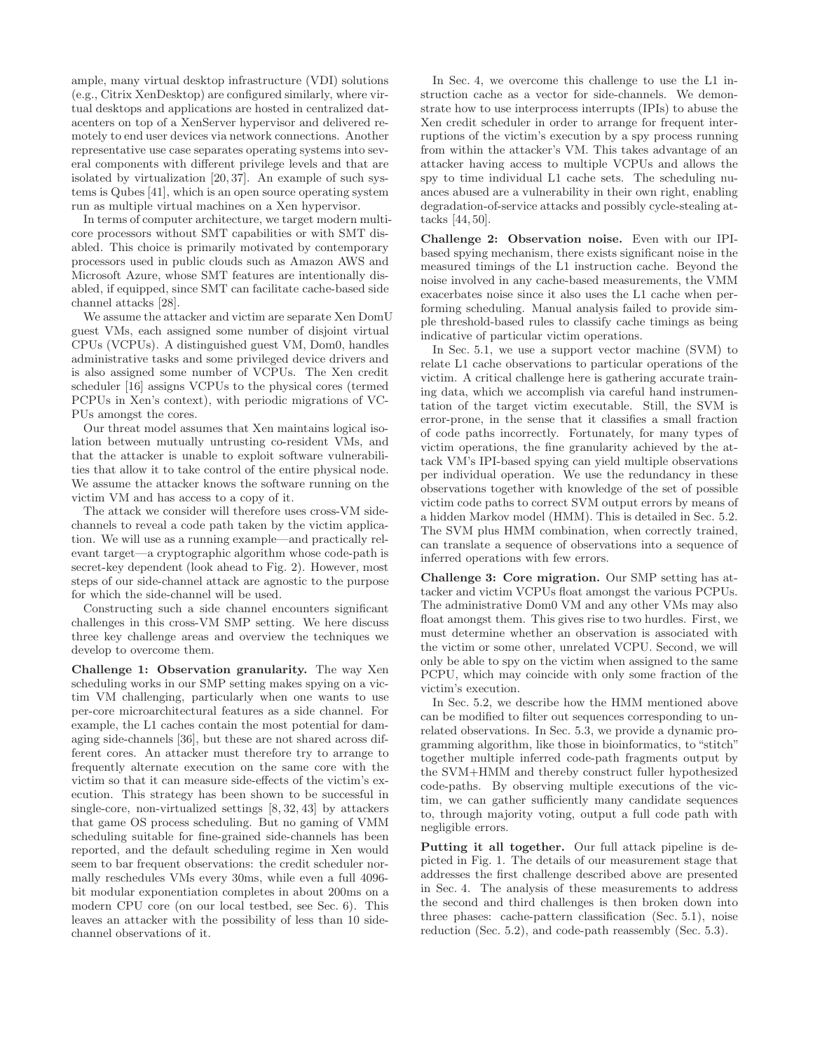ample, many virtual desktop infrastructure (VDI) solutions (e.g., Citrix XenDesktop) are configured similarly, where virtual desktops and applications are hosted in centralized datacenters on top of a XenServer hypervisor and delivered remotely to end user devices via network connections. Another representative use case separates operating systems into several components with different privilege levels and that are isolated by virtualization [20, 37]. An example of such systems is Qubes [41], which is an open source operating system run as multiple virtual machines on a Xen hypervisor.

In terms of computer architecture, we target modern multicore processors without SMT capabilities or with SMT disabled. This choice is primarily motivated by contemporary processors used in public clouds such as Amazon AWS and Microsoft Azure, whose SMT features are intentionally disabled, if equipped, since SMT can facilitate cache-based side channel attacks [28].

We assume the attacker and victim are separate Xen DomU guest VMs, each assigned some number of disjoint virtual CPUs (VCPUs). A distinguished guest VM, Dom0, handles administrative tasks and some privileged device drivers and is also assigned some number of VCPUs. The Xen credit scheduler [16] assigns VCPUs to the physical cores (termed PCPUs in Xen's context), with periodic migrations of VC-PUs amongst the cores.

Our threat model assumes that Xen maintains logical isolation between mutually untrusting co-resident VMs, and that the attacker is unable to exploit software vulnerabilities that allow it to take control of the entire physical node. We assume the attacker knows the software running on the victim VM and has access to a copy of it.

The attack we consider will therefore uses cross-VM sidechannels to reveal a code path taken by the victim application. We will use as a running example—and practically relevant target—a cryptographic algorithm whose code-path is secret-key dependent (look ahead to Fig. 2). However, most steps of our side-channel attack are agnostic to the purpose for which the side-channel will be used.

Constructing such a side channel encounters significant challenges in this cross-VM SMP setting. We here discuss three key challenge areas and overview the techniques we develop to overcome them.

Challenge 1: Observation granularity. The way Xen scheduling works in our SMP setting makes spying on a victim VM challenging, particularly when one wants to use per-core microarchitectural features as a side channel. For example, the L1 caches contain the most potential for damaging side-channels [36], but these are not shared across different cores. An attacker must therefore try to arrange to frequently alternate execution on the same core with the victim so that it can measure side-effects of the victim's execution. This strategy has been shown to be successful in single-core, non-virtualized settings [8, 32, 43] by attackers that game OS process scheduling. But no gaming of VMM scheduling suitable for fine-grained side-channels has been reported, and the default scheduling regime in Xen would seem to bar frequent observations: the credit scheduler normally reschedules VMs every 30ms, while even a full 4096 bit modular exponentiation completes in about 200ms on a modern CPU core (on our local testbed, see Sec. 6). This leaves an attacker with the possibility of less than 10 sidechannel observations of it.

In Sec. 4, we overcome this challenge to use the L1 instruction cache as a vector for side-channels. We demonstrate how to use interprocess interrupts (IPIs) to abuse the Xen credit scheduler in order to arrange for frequent interruptions of the victim's execution by a spy process running from within the attacker's VM. This takes advantage of an attacker having access to multiple VCPUs and allows the spy to time individual L1 cache sets. The scheduling nuances abused are a vulnerability in their own right, enabling degradation-of-service attacks and possibly cycle-stealing attacks [44, 50].

Challenge 2: Observation noise. Even with our IPIbased spying mechanism, there exists significant noise in the measured timings of the L1 instruction cache. Beyond the noise involved in any cache-based measurements, the VMM exacerbates noise since it also uses the L1 cache when performing scheduling. Manual analysis failed to provide simple threshold-based rules to classify cache timings as being indicative of particular victim operations.

In Sec. 5.1, we use a support vector machine (SVM) to relate L1 cache observations to particular operations of the victim. A critical challenge here is gathering accurate training data, which we accomplish via careful hand instrumentation of the target victim executable. Still, the SVM is error-prone, in the sense that it classifies a small fraction of code paths incorrectly. Fortunately, for many types of victim operations, the fine granularity achieved by the attack VM's IPI-based spying can yield multiple observations per individual operation. We use the redundancy in these observations together with knowledge of the set of possible victim code paths to correct SVM output errors by means of a hidden Markov model (HMM). This is detailed in Sec. 5.2. The SVM plus HMM combination, when correctly trained, can translate a sequence of observations into a sequence of inferred operations with few errors.

Challenge 3: Core migration. Our SMP setting has attacker and victim VCPUs float amongst the various PCPUs. The administrative Dom0 VM and any other VMs may also float amongst them. This gives rise to two hurdles. First, we must determine whether an observation is associated with the victim or some other, unrelated VCPU. Second, we will only be able to spy on the victim when assigned to the same PCPU, which may coincide with only some fraction of the victim's execution.

In Sec. 5.2, we describe how the HMM mentioned above can be modified to filter out sequences corresponding to unrelated observations. In Sec. 5.3, we provide a dynamic programming algorithm, like those in bioinformatics, to "stitch" together multiple inferred code-path fragments output by the SVM+HMM and thereby construct fuller hypothesized code-paths. By observing multiple executions of the victim, we can gather sufficiently many candidate sequences to, through majority voting, output a full code path with negligible errors.

Putting it all together. Our full attack pipeline is depicted in Fig. 1. The details of our measurement stage that addresses the first challenge described above are presented in Sec. 4. The analysis of these measurements to address the second and third challenges is then broken down into three phases: cache-pattern classification (Sec. 5.1), noise reduction (Sec. 5.2), and code-path reassembly (Sec. 5.3).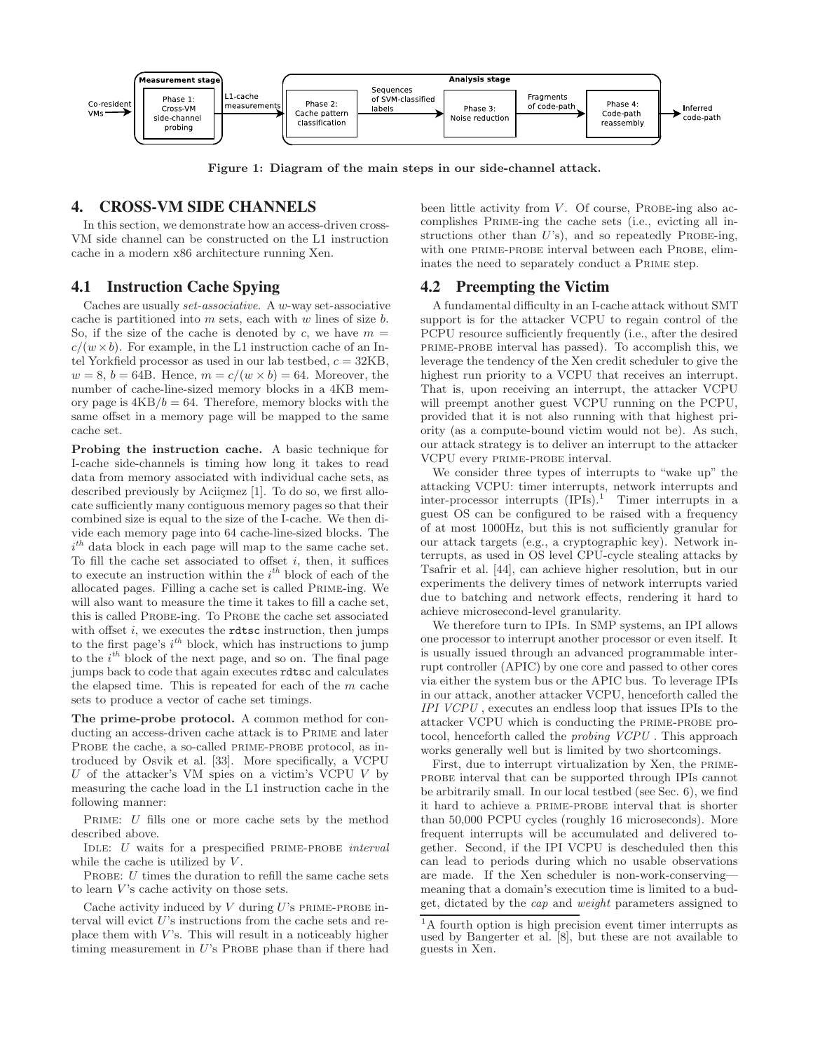

Figure 1: Diagram of the main steps in our side-channel attack.

# **4. CROSS-VM SIDE CHANNELS**

In this section, we demonstrate how an access-driven cross-VM side channel can be constructed on the L1 instruction cache in a modern x86 architecture running Xen.

## **4.1 Instruction Cache Spying**

Caches are usually *set-associative*. A w-way set-associative cache is partitioned into  $m$  sets, each with  $w$  lines of size  $b$ . So, if the size of the cache is denoted by c, we have  $m =$  $c/(w \times b)$ . For example, in the L1 instruction cache of an Intel Yorkfield processor as used in our lab testbed,  $c = 32KB$ ,  $w = 8, b = 64B$ . Hence,  $m = c/(w \times b) = 64$ . Moreover, the number of cache-line-sized memory blocks in a 4KB memory page is  $4KB/b = 64$ . Therefore, memory blocks with the same offset in a memory page will be mapped to the same cache set.

Probing the instruction cache. A basic technique for I-cache side-channels is timing how long it takes to read data from memory associated with individual cache sets, as described previously by Aciicmez  $[1]$ . To do so, we first allocate sufficiently many contiguous memory pages so that their combined size is equal to the size of the I-cache. We then divide each memory page into 64 cache-line-sized blocks. The  $i^{th}$  data block in each page will map to the same cache set. To fill the cache set associated to offset  $i$ , then, it suffices to execute an instruction within the  $i^{th}$  block of each of the allocated pages. Filling a cache set is called Prime-ing. We will also want to measure the time it takes to fill a cache set, this is called Probe-ing. To Probe the cache set associated with offset  $i$ , we executes the rdtsc instruction, then jumps to the first page's  $i^{th}$  block, which has instructions to jump to the  $i^{th}$  block of the next page, and so on. The final page jumps back to code that again executes rdtsc and calculates the elapsed time. This is repeated for each of the  $m$  cache sets to produce a vector of cache set timings.

The prime-probe protocol. A common method for conducting an access-driven cache attack is to Prime and later PROBE the cache, a so-called PRIME-PROBE protocol, as introduced by Osvik et al. [33]. More specifically, a VCPU  $U$  of the attacker's VM spies on a victim's VCPU  $V$  by measuring the cache load in the L1 instruction cache in the following manner:

PRIME: U fills one or more cache sets by the method described above.

IDLE: U waits for a prespecified PRIME-PROBE *interval* while the cache is utilized by  $V$ .

PROBE: U times the duration to refill the same cache sets to learn  $V$ 's cache activity on those sets.

Cache activity induced by  $V$  during  $U$ 's PRIME-PROBE interval will evict  $U$ 's instructions from the cache sets and replace them with  $V$ 's. This will result in a noticeably higher timing measurement in  $U$ 's PROBE phase than if there had

been little activity from  $V$ . Of course, PROBE-ing also accomplishes Prime-ing the cache sets (i.e., evicting all instructions other than  $U$ 's), and so repeatedly PROBE-ing, with one PRIME-PROBE interval between each PROBE, eliminates the need to separately conduct a Prime step.

## **4.2 Preempting the Victim**

A fundamental difficulty in an I-cache attack without SMT support is for the attacker VCPU to regain control of the PCPU resource sufficiently frequently (i.e., after the desired prime-probe interval has passed). To accomplish this, we leverage the tendency of the Xen credit scheduler to give the highest run priority to a VCPU that receives an interrupt. That is, upon receiving an interrupt, the attacker VCPU will preempt another guest VCPU running on the PCPU, provided that it is not also running with that highest priority (as a compute-bound victim would not be). As such, our attack strategy is to deliver an interrupt to the attacker VCPU every prime-probe interval.

We consider three types of interrupts to "wake up" the attacking VCPU: timer interrupts, network interrupts and inter-processor interrupts  $(IPIs).$ <sup>1</sup> Timer interrupts in a guest OS can be configured to be raised with a frequency of at most 1000Hz, but this is not sufficiently granular for our attack targets (e.g., a cryptographic key). Network interrupts, as used in OS level CPU-cycle stealing attacks by Tsafrir et al. [44], can achieve higher resolution, but in our experiments the delivery times of network interrupts varied due to batching and network effects, rendering it hard to achieve microsecond-level granularity.

We therefore turn to IPIs. In SMP systems, an IPI allows one processor to interrupt another processor or even itself. It is usually issued through an advanced programmable interrupt controller (APIC) by one core and passed to other cores via either the system bus or the APIC bus. To leverage IPIs in our attack, another attacker VCPU, henceforth called the *IPI VCPU* , executes an endless loop that issues IPIs to the attacker VCPU which is conducting the prime-probe protocol, henceforth called the *probing VCPU* . This approach works generally well but is limited by two shortcomings.

First, due to interrupt virtualization by Xen, the primeprobe interval that can be supported through IPIs cannot be arbitrarily small. In our local testbed (see Sec. 6), we find it hard to achieve a prime-probe interval that is shorter than 50,000 PCPU cycles (roughly 16 microseconds). More frequent interrupts will be accumulated and delivered together. Second, if the IPI VCPU is descheduled then this can lead to periods during which no usable observations are made. If the Xen scheduler is non-work-conserving meaning that a domain's execution time is limited to a budget, dictated by the *cap* and *weight* parameters assigned to

<sup>&</sup>lt;sup>1</sup>A fourth option is high precision event timer interrupts as used by Bangerter et al. [8], but these are not available to guests in Xen.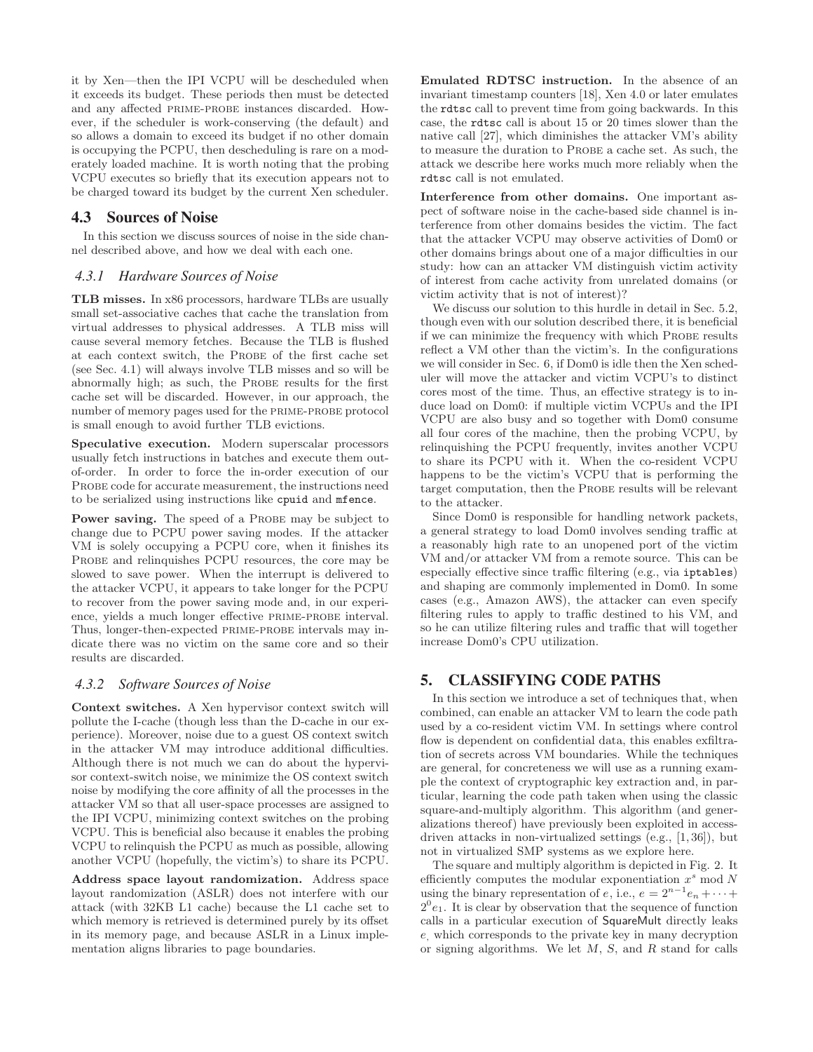it by Xen—then the IPI VCPU will be descheduled when it exceeds its budget. These periods then must be detected and any affected prime-probe instances discarded. However, if the scheduler is work-conserving (the default) and so allows a domain to exceed its budget if no other domain is occupying the PCPU, then descheduling is rare on a moderately loaded machine. It is worth noting that the probing VCPU executes so briefly that its execution appears not to be charged toward its budget by the current Xen scheduler.

## **4.3 Sources of Noise**

In this section we discuss sources of noise in the side channel described above, and how we deal with each one.

#### *4.3.1 Hardware Sources of Noise*

TLB misses. In x86 processors, hardware TLBs are usually small set-associative caches that cache the translation from virtual addresses to physical addresses. A TLB miss will cause several memory fetches. Because the TLB is flushed at each context switch, the Probe of the first cache set (see Sec. 4.1) will always involve TLB misses and so will be abnormally high; as such, the PROBE results for the first cache set will be discarded. However, in our approach, the number of memory pages used for the prime-probe protocol is small enough to avoid further TLB evictions.

Speculative execution. Modern superscalar processors usually fetch instructions in batches and execute them outof-order. In order to force the in-order execution of our PROBE code for accurate measurement, the instructions need to be serialized using instructions like cpuid and mfence.

Power saving. The speed of a PROBE may be subject to change due to PCPU power saving modes. If the attacker VM is solely occupying a PCPU core, when it finishes its PROBE and relinquishes PCPU resources, the core may be slowed to save power. When the interrupt is delivered to the attacker VCPU, it appears to take longer for the PCPU to recover from the power saving mode and, in our experience, yields a much longer effective prime-probe interval. Thus, longer-then-expected prime-probe intervals may indicate there was no victim on the same core and so their results are discarded.

#### *4.3.2 Software Sources of Noise*

Context switches. A Xen hypervisor context switch will pollute the I-cache (though less than the D-cache in our experience). Moreover, noise due to a guest OS context switch in the attacker VM may introduce additional difficulties. Although there is not much we can do about the hypervisor context-switch noise, we minimize the OS context switch noise by modifying the core affinity of all the processes in the attacker VM so that all user-space processes are assigned to the IPI VCPU, minimizing context switches on the probing VCPU. This is beneficial also because it enables the probing VCPU to relinquish the PCPU as much as possible, allowing another VCPU (hopefully, the victim's) to share its PCPU.

Address space layout randomization. Address space layout randomization (ASLR) does not interfere with our attack (with 32KB L1 cache) because the L1 cache set to which memory is retrieved is determined purely by its offset in its memory page, and because ASLR in a Linux implementation aligns libraries to page boundaries.

Emulated RDTSC instruction. In the absence of an invariant timestamp counters [18], Xen 4.0 or later emulates the rdtsc call to prevent time from going backwards. In this case, the rdtsc call is about 15 or 20 times slower than the native call [27], which diminishes the attacker VM's ability to measure the duration to PROBE a cache set. As such, the attack we describe here works much more reliably when the rdtsc call is not emulated.

Interference from other domains. One important aspect of software noise in the cache-based side channel is interference from other domains besides the victim. The fact that the attacker VCPU may observe activities of Dom0 or other domains brings about one of a major difficulties in our study: how can an attacker VM distinguish victim activity of interest from cache activity from unrelated domains (or victim activity that is not of interest)?

We discuss our solution to this hurdle in detail in Sec. 5.2, though even with our solution described there, it is beneficial if we can minimize the frequency with which Probe results reflect a VM other than the victim's. In the configurations we will consider in Sec. 6, if Dom0 is idle then the Xen scheduler will move the attacker and victim VCPU's to distinct cores most of the time. Thus, an effective strategy is to induce load on Dom0: if multiple victim VCPUs and the IPI VCPU are also busy and so together with Dom0 consume all four cores of the machine, then the probing VCPU, by relinquishing the PCPU frequently, invites another VCPU to share its PCPU with it. When the co-resident VCPU happens to be the victim's VCPU that is performing the target computation, then the PROBE results will be relevant to the attacker.

Since Dom0 is responsible for handling network packets, a general strategy to load Dom0 involves sending traffic at a reasonably high rate to an unopened port of the victim VM and/or attacker VM from a remote source. This can be especially effective since traffic filtering (e.g., via iptables) and shaping are commonly implemented in Dom0. In some cases (e.g., Amazon AWS), the attacker can even specify filtering rules to apply to traffic destined to his VM, and so he can utilize filtering rules and traffic that will together increase Dom0's CPU utilization.

# **5. CLASSIFYING CODE PATHS**

In this section we introduce a set of techniques that, when combined, can enable an attacker VM to learn the code path used by a co-resident victim VM. In settings where control flow is dependent on confidential data, this enables exfiltration of secrets across VM boundaries. While the techniques are general, for concreteness we will use as a running example the context of cryptographic key extraction and, in particular, learning the code path taken when using the classic square-and-multiply algorithm. This algorithm (and generalizations thereof) have previously been exploited in accessdriven attacks in non-virtualized settings (e.g., [1, 36]), but not in virtualized SMP systems as we explore here.

The square and multiply algorithm is depicted in Fig. 2. It efficiently computes the modular exponentiation  $x^s$  mod  $N$ using the binary representation of  $e$ , i.e.,  $e = 2^{n-1}e_n + \cdots +$  $2^{0}e_{1}$ . It is clear by observation that the sequence of function calls in a particular execution of SquareMult directly leaks e, which corresponds to the private key in many decryption or signing algorithms. We let  $M$ ,  $S$ , and  $R$  stand for calls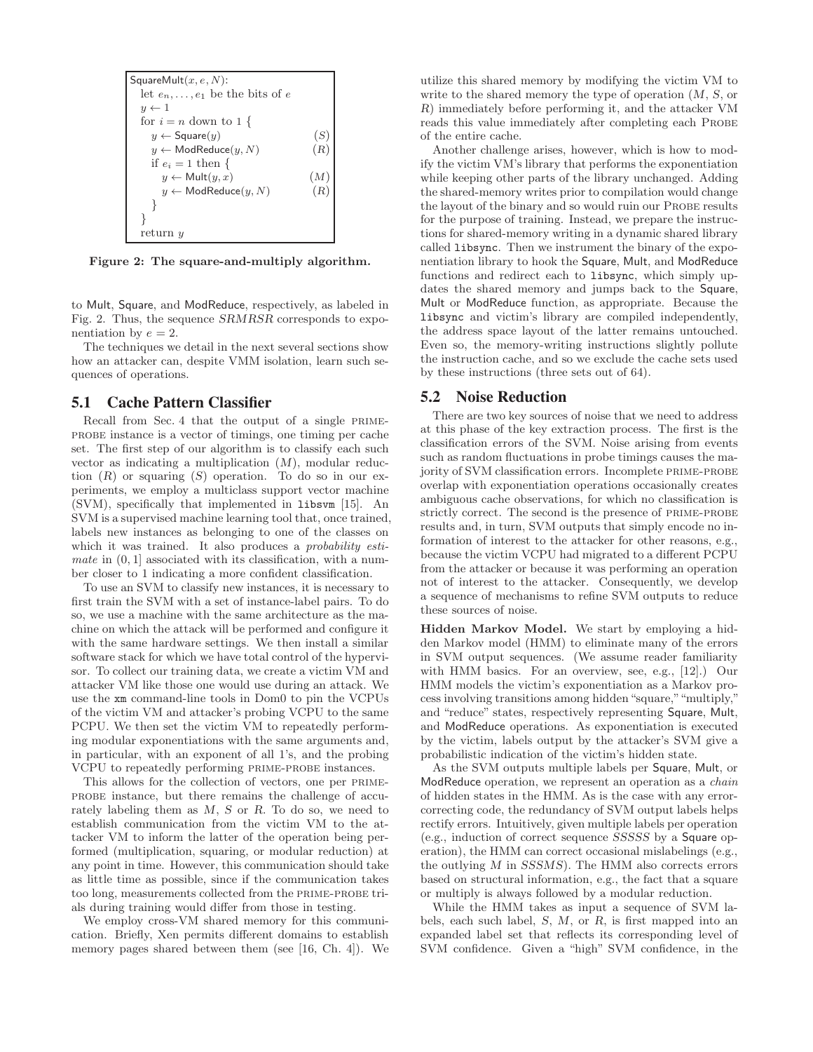| SquareMult(x, e, N):                    |     |
|-----------------------------------------|-----|
| let $e_n, \ldots, e_1$ be the bits of e |     |
| $y \leftarrow 1$                        |     |
| for $i = n$ down to 1 {                 |     |
| $y \leftarrow$ Square $(y)$             | (S) |
| $y \leftarrow$ ModReduce $(y, N)$       | (R) |
| if $e_i = 1$ then {                     |     |
| $y \leftarrow \mathsf{Mult}(y, x)$      | (M) |
| $y \leftarrow$ ModReduce $(y, N)$       | R)  |
|                                         |     |
|                                         |     |
| return y                                |     |
|                                         |     |

Figure 2: The square-and-multiply algorithm.

to Mult, Square, and ModReduce, respectively, as labeled in Fig. 2. Thus, the sequence SRMRSR corresponds to exponentiation by  $e = 2$ .

The techniques we detail in the next several sections show how an attacker can, despite VMM isolation, learn such sequences of operations.

#### **5.1 Cache Pattern Classifier**

Recall from Sec. 4 that the output of a single primeprobe instance is a vector of timings, one timing per cache set. The first step of our algorithm is to classify each such vector as indicating a multiplication  $(M)$ , modular reduction  $(R)$  or squaring  $(S)$  operation. To do so in our experiments, we employ a multiclass support vector machine (SVM), specifically that implemented in libsvm [15]. An SVM is a supervised machine learning tool that, once trained, labels new instances as belonging to one of the classes on which it was trained. It also produces a *probability estimate* in  $(0, 1]$  associated with its classification, with a number closer to 1 indicating a more confident classification.

To use an SVM to classify new instances, it is necessary to first train the SVM with a set of instance-label pairs. To do so, we use a machine with the same architecture as the machine on which the attack will be performed and configure it with the same hardware settings. We then install a similar software stack for which we have total control of the hypervisor. To collect our training data, we create a victim VM and attacker VM like those one would use during an attack. We use the xm command-line tools in Dom0 to pin the VCPUs of the victim VM and attacker's probing VCPU to the same PCPU. We then set the victim VM to repeatedly performing modular exponentiations with the same arguments and, in particular, with an exponent of all 1's, and the probing VCPU to repeatedly performing prime-probe instances.

This allows for the collection of vectors, one per primeprobe instance, but there remains the challenge of accurately labeling them as M, S or R. To do so, we need to establish communication from the victim VM to the attacker VM to inform the latter of the operation being performed (multiplication, squaring, or modular reduction) at any point in time. However, this communication should take as little time as possible, since if the communication takes too long, measurements collected from the prime-probe trials during training would differ from those in testing.

We employ cross-VM shared memory for this communication. Briefly, Xen permits different domains to establish memory pages shared between them (see [16, Ch. 4]). We utilize this shared memory by modifying the victim VM to write to the shared memory the type of operation (M, S, or R) immediately before performing it, and the attacker VM reads this value immediately after completing each PROBE of the entire cache.

Another challenge arises, however, which is how to modify the victim VM's library that performs the exponentiation while keeping other parts of the library unchanged. Adding the shared-memory writes prior to compilation would change the layout of the binary and so would ruin our PROBE results for the purpose of training. Instead, we prepare the instructions for shared-memory writing in a dynamic shared library called libsync. Then we instrument the binary of the exponentiation library to hook the Square, Mult, and ModReduce functions and redirect each to libsync, which simply updates the shared memory and jumps back to the Square, Mult or ModReduce function, as appropriate. Because the libsync and victim's library are compiled independently, the address space layout of the latter remains untouched. Even so, the memory-writing instructions slightly pollute the instruction cache, and so we exclude the cache sets used by these instructions (three sets out of 64).

#### **5.2 Noise Reduction**

There are two key sources of noise that we need to address at this phase of the key extraction process. The first is the classification errors of the SVM. Noise arising from events such as random fluctuations in probe timings causes the majority of SVM classification errors. Incomplete prime-probe overlap with exponentiation operations occasionally creates ambiguous cache observations, for which no classification is strictly correct. The second is the presence of PRIME-PROBE results and, in turn, SVM outputs that simply encode no information of interest to the attacker for other reasons, e.g., because the victim VCPU had migrated to a different PCPU from the attacker or because it was performing an operation not of interest to the attacker. Consequently, we develop a sequence of mechanisms to refine SVM outputs to reduce these sources of noise.

Hidden Markov Model. We start by employing a hidden Markov model (HMM) to eliminate many of the errors in SVM output sequences. (We assume reader familiarity with HMM basics. For an overview, see, e.g., [12].) Our HMM models the victim's exponentiation as a Markov process involving transitions among hidden "square,""multiply," and "reduce" states, respectively representing Square, Mult, and ModReduce operations. As exponentiation is executed by the victim, labels output by the attacker's SVM give a probabilistic indication of the victim's hidden state.

As the SVM outputs multiple labels per Square, Mult, or ModReduce operation, we represent an operation as a *chain* of hidden states in the HMM. As is the case with any errorcorrecting code, the redundancy of SVM output labels helps rectify errors. Intuitively, given multiple labels per operation (e.g., induction of correct sequence SSSSS by a Square operation), the HMM can correct occasional mislabelings (e.g., the outlying M in SSSMS). The HMM also corrects errors based on structural information, e.g., the fact that a square or multiply is always followed by a modular reduction.

While the HMM takes as input a sequence of SVM labels, each such label, S, M, or R, is first mapped into an expanded label set that reflects its corresponding level of SVM confidence. Given a "high" SVM confidence, in the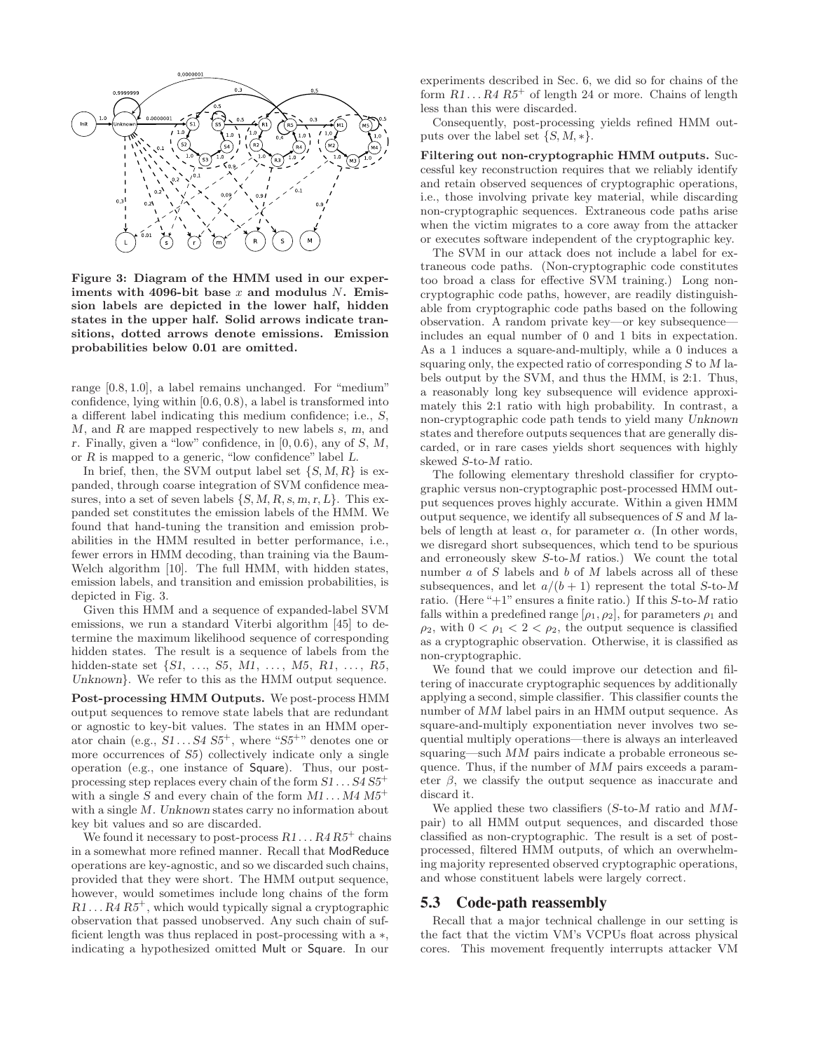

Figure 3: Diagram of the HMM used in our experiments with 4096-bit base  $x$  and modulus  $N$ . Emission labels are depicted in the lower half, hidden states in the upper half. Solid arrows indicate transitions, dotted arrows denote emissions. Emission probabilities below 0.01 are omitted.

range [0.8, 1.0], a label remains unchanged. For "medium" confidence, lying within [0.6, 0.8), a label is transformed into a different label indicating this medium confidence; i.e., S, M, and R are mapped respectively to new labels s, m, and r. Finally, given a "low" confidence, in [0, 0.6), any of S, M, or  $R$  is mapped to a generic, "low confidence" label  $L$ .

In brief, then, the SVM output label set  $\{S, M, R\}$  is expanded, through coarse integration of SVM confidence measures, into a set of seven labels  $\{S, M, R, s, m, r, L\}$ . This expanded set constitutes the emission labels of the HMM. We found that hand-tuning the transition and emission probabilities in the HMM resulted in better performance, i.e., fewer errors in HMM decoding, than training via the Baum-Welch algorithm [10]. The full HMM, with hidden states, emission labels, and transition and emission probabilities, is depicted in Fig. 3.

Given this HMM and a sequence of expanded-label SVM emissions, we run a standard Viterbi algorithm [45] to determine the maximum likelihood sequence of corresponding hidden states. The result is a sequence of labels from the hidden-state set  $\{S1, \ldots, S5, M1, \ldots, M5, R1, \ldots, R5,$ Unknown}. We refer to this as the HMM output sequence.

Post-processing HMM Outputs. We post-process HMM output sequences to remove state labels that are redundant or agnostic to key-bit values. The states in an HMM operator chain (e.g.,  $S1 \dots S4 S5^+$ , where " $S5^+$ " denotes one or more occurrences of S5) collectively indicate only a single operation (e.g., one instance of Square). Thus, our postprocessing step replaces every chain of the form  $S1 \dots S4 S5^+$ with a single S and every chain of the form  $M1 \dots M4 M5^+$ with a single M. Unknown states carry no information about key bit values and so are discarded.

We found it necessary to post-process  $R1...R4 R5^+$  chains in a somewhat more refined manner. Recall that ModReduce operations are key-agnostic, and so we discarded such chains, provided that they were short. The HMM output sequence, however, would sometimes include long chains of the form  $R1 \ldots R4 R5^+$ , which would typically signal a cryptographic observation that passed unobserved. Any such chain of sufficient length was thus replaced in post-processing with a  $\ast$ , indicating a hypothesized omitted Mult or Square. In our

experiments described in Sec. 6, we did so for chains of the form  $R1 \dots R4 R5^+$  of length 24 or more. Chains of length less than this were discarded.

Consequently, post-processing yields refined HMM outputs over the label set  $\{S, M, *\}.$ 

Filtering out non-cryptographic HMM outputs. Successful key reconstruction requires that we reliably identify and retain observed sequences of cryptographic operations, i.e., those involving private key material, while discarding non-cryptographic sequences. Extraneous code paths arise when the victim migrates to a core away from the attacker or executes software independent of the cryptographic key.

The SVM in our attack does not include a label for extraneous code paths. (Non-cryptographic code constitutes too broad a class for effective SVM training.) Long noncryptographic code paths, however, are readily distinguishable from cryptographic code paths based on the following observation. A random private key—or key subsequence includes an equal number of 0 and 1 bits in expectation. As a 1 induces a square-and-multiply, while a 0 induces a squaring only, the expected ratio of corresponding  $S$  to  $M$  labels output by the SVM, and thus the HMM, is 2:1. Thus, a reasonably long key subsequence will evidence approximately this 2:1 ratio with high probability. In contrast, a non-cryptographic code path tends to yield many Unknown states and therefore outputs sequences that are generally discarded, or in rare cases yields short sequences with highly skewed S-to-M ratio.

The following elementary threshold classifier for cryptographic versus non-cryptographic post-processed HMM output sequences proves highly accurate. Within a given HMM output sequence, we identify all subsequences of S and M labels of length at least  $\alpha$ , for parameter  $\alpha$ . (In other words, we disregard short subsequences, which tend to be spurious and erroneously skew S-to-M ratios.) We count the total number a of S labels and b of M labels across all of these subsequences, and let  $a/(b+1)$  represent the total S-to-M ratio. (Here " $+1$ " ensures a finite ratio.) If this S-to-M ratio falls within a predefined range  $[\rho_1, \rho_2]$ , for parameters  $\rho_1$  and  $\rho_2$ , with  $0 < \rho_1 < 2 < \rho_2$ , the output sequence is classified as a cryptographic observation. Otherwise, it is classified as non-cryptographic.

We found that we could improve our detection and filtering of inaccurate cryptographic sequences by additionally applying a second, simple classifier. This classifier counts the number of MM label pairs in an HMM output sequence. As square-and-multiply exponentiation never involves two sequential multiply operations—there is always an interleaved squaring—such MM pairs indicate a probable erroneous sequence. Thus, if the number of MM pairs exceeds a parameter  $\beta$ , we classify the output sequence as inaccurate and discard it.

We applied these two classifiers  $(S$ -to- $M$  ratio and  $MM$ pair) to all HMM output sequences, and discarded those classified as non-cryptographic. The result is a set of postprocessed, filtered HMM outputs, of which an overwhelming majority represented observed cryptographic operations, and whose constituent labels were largely correct.

#### **5.3 Code-path reassembly**

Recall that a major technical challenge in our setting is the fact that the victim VM's VCPUs float across physical cores. This movement frequently interrupts attacker VM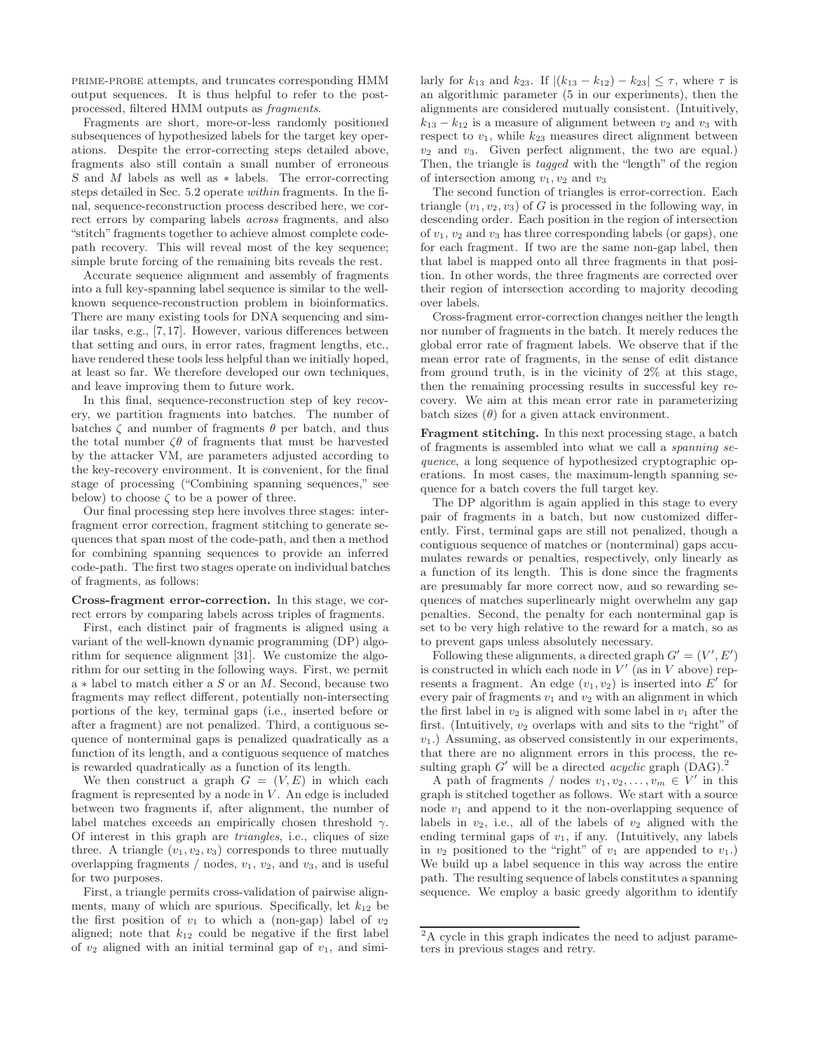prime-probe attempts, and truncates corresponding HMM output sequences. It is thus helpful to refer to the postprocessed, filtered HMM outputs as *fragments*.

Fragments are short, more-or-less randomly positioned subsequences of hypothesized labels for the target key operations. Despite the error-correcting steps detailed above, fragments also still contain a small number of erroneous S and M labels as well as ∗ labels. The error-correcting steps detailed in Sec. 5.2 operate *within* fragments. In the final, sequence-reconstruction process described here, we correct errors by comparing labels *across* fragments, and also "stitch" fragments together to achieve almost complete codepath recovery. This will reveal most of the key sequence; simple brute forcing of the remaining bits reveals the rest.

Accurate sequence alignment and assembly of fragments into a full key-spanning label sequence is similar to the wellknown sequence-reconstruction problem in bioinformatics. There are many existing tools for DNA sequencing and similar tasks, e.g., [7, 17]. However, various differences between that setting and ours, in error rates, fragment lengths, etc., have rendered these tools less helpful than we initially hoped, at least so far. We therefore developed our own techniques, and leave improving them to future work.

In this final, sequence-reconstruction step of key recovery, we partition fragments into batches. The number of batches  $\zeta$  and number of fragments  $\theta$  per batch, and thus the total number  $\zeta\theta$  of fragments that must be harvested by the attacker VM, are parameters adjusted according to the key-recovery environment. It is convenient, for the final stage of processing ("Combining spanning sequences," see below) to choose  $\zeta$  to be a power of three.

Our final processing step here involves three stages: interfragment error correction, fragment stitching to generate sequences that span most of the code-path, and then a method for combining spanning sequences to provide an inferred code-path. The first two stages operate on individual batches of fragments, as follows:

Cross-fragment error-correction. In this stage, we correct errors by comparing labels across triples of fragments.

First, each distinct pair of fragments is aligned using a variant of the well-known dynamic programming (DP) algorithm for sequence alignment [31]. We customize the algorithm for our setting in the following ways. First, we permit a ∗ label to match either a S or an M. Second, because two fragments may reflect different, potentially non-intersecting portions of the key, terminal gaps (i.e., inserted before or after a fragment) are not penalized. Third, a contiguous sequence of nonterminal gaps is penalized quadratically as a function of its length, and a contiguous sequence of matches is rewarded quadratically as a function of its length.

We then construct a graph  $G = (V, E)$  in which each fragment is represented by a node in  $V$ . An edge is included between two fragments if, after alignment, the number of label matches exceeds an empirically chosen threshold  $\gamma$ . Of interest in this graph are *triangles*, i.e., cliques of size three. A triangle  $(v_1, v_2, v_3)$  corresponds to three mutually overlapping fragments / nodes,  $v_1$ ,  $v_2$ , and  $v_3$ , and is useful for two purposes.

First, a triangle permits cross-validation of pairwise alignments, many of which are spurious. Specifically, let  $k_{12}$  be the first position of  $v_1$  to which a (non-gap) label of  $v_2$ aligned; note that  $k_{12}$  could be negative if the first label of  $v_2$  aligned with an initial terminal gap of  $v_1$ , and similarly for  $k_{13}$  and  $k_{23}$ . If  $|(k_{13} - k_{12}) - k_{23}| \leq \tau$ , where  $\tau$  is an algorithmic parameter (5 in our experiments), then the alignments are considered mutually consistent. (Intuitively,  $k_{13} - k_{12}$  is a measure of alignment between  $v_2$  and  $v_3$  with respect to  $v_1$ , while  $k_{23}$  measures direct alignment between  $v_2$  and  $v_3$ . Given perfect alignment, the two are equal.) Then, the triangle is *tagged* with the "length" of the region of intersection among  $v_1, v_2$  and  $v_3$ 

The second function of triangles is error-correction. Each triangle  $(v_1, v_2, v_3)$  of G is processed in the following way, in descending order. Each position in the region of intersection of  $v_1, v_2$  and  $v_3$  has three corresponding labels (or gaps), one for each fragment. If two are the same non-gap label, then that label is mapped onto all three fragments in that position. In other words, the three fragments are corrected over their region of intersection according to majority decoding over labels.

Cross-fragment error-correction changes neither the length nor number of fragments in the batch. It merely reduces the global error rate of fragment labels. We observe that if the mean error rate of fragments, in the sense of edit distance from ground truth, is in the vicinity of 2% at this stage, then the remaining processing results in successful key recovery. We aim at this mean error rate in parameterizing batch sizes  $(\theta)$  for a given attack environment.

Fragment stitching. In this next processing stage, a batch of fragments is assembled into what we call a *spanning sequence*, a long sequence of hypothesized cryptographic operations. In most cases, the maximum-length spanning sequence for a batch covers the full target key.

The DP algorithm is again applied in this stage to every pair of fragments in a batch, but now customized differently. First, terminal gaps are still not penalized, though a contiguous sequence of matches or (nonterminal) gaps accumulates rewards or penalties, respectively, only linearly as a function of its length. This is done since the fragments are presumably far more correct now, and so rewarding sequences of matches superlinearly might overwhelm any gap penalties. Second, the penalty for each nonterminal gap is set to be very high relative to the reward for a match, so as to prevent gaps unless absolutely necessary.

Following these alignments, a directed graph  $G' = (V', E')$ is constructed in which each node in  $V'$  (as in  $V$  above) represents a fragment. An edge  $(v_1, v_2)$  is inserted into E' for every pair of fragments  $v_1$  and  $v_2$  with an alignment in which the first label in  $v_2$  is aligned with some label in  $v_1$  after the first. (Intuitively,  $v_2$  overlaps with and sits to the "right" of  $v_1$ .) Assuming, as observed consistently in our experiments, that there are no alignment errors in this process, the resulting graph G' will be a directed *acyclic* graph (DAG).<sup>2</sup>

A path of fragments / nodes  $v_1, v_2, \ldots, v_m \in V'$  in this graph is stitched together as follows. We start with a source node  $v_1$  and append to it the non-overlapping sequence of labels in  $v_2$ , i.e., all of the labels of  $v_2$  aligned with the ending terminal gaps of  $v_1$ , if any. (Intuitively, any labels in  $v_2$  positioned to the "right" of  $v_1$  are appended to  $v_1$ .) We build up a label sequence in this way across the entire path. The resulting sequence of labels constitutes a spanning sequence. We employ a basic greedy algorithm to identify

<sup>&</sup>lt;sup>2</sup>A cycle in this graph indicates the need to adjust parameters in previous stages and retry.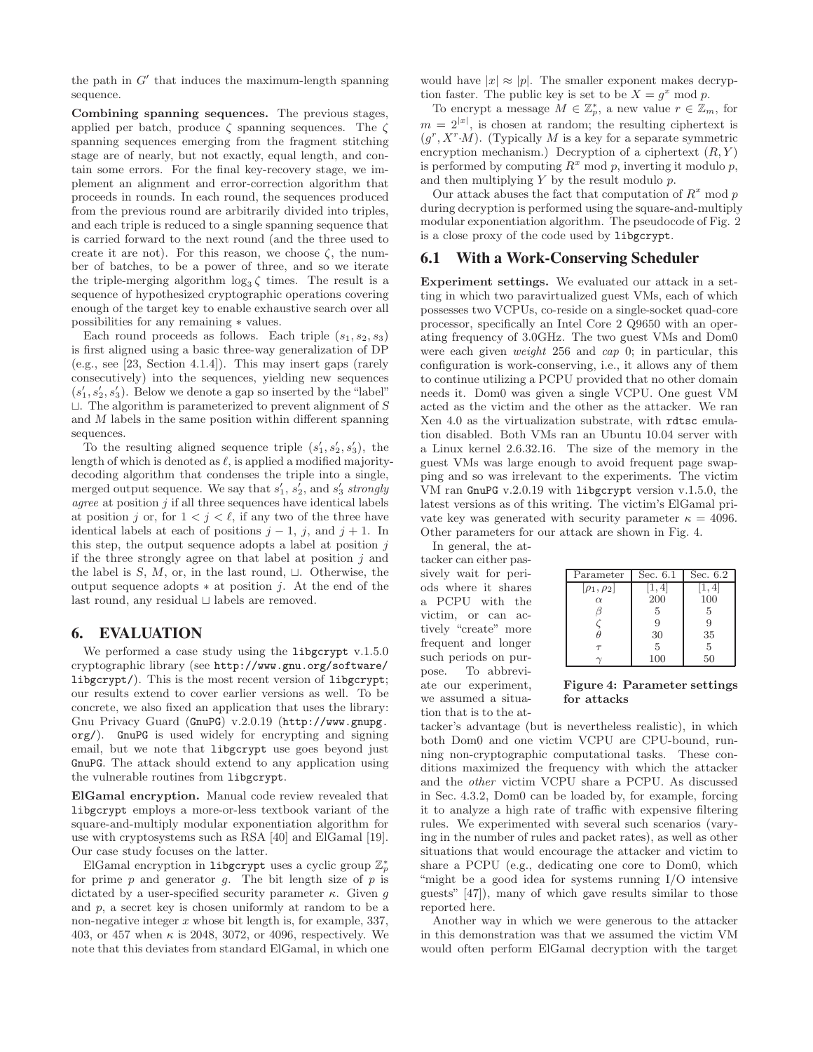the path in  $G'$  that induces the maximum-length spanning sequence.

Combining spanning sequences. The previous stages, applied per batch, produce  $\zeta$  spanning sequences. The  $\zeta$ spanning sequences emerging from the fragment stitching stage are of nearly, but not exactly, equal length, and contain some errors. For the final key-recovery stage, we implement an alignment and error-correction algorithm that proceeds in rounds. In each round, the sequences produced from the previous round are arbitrarily divided into triples, and each triple is reduced to a single spanning sequence that is carried forward to the next round (and the three used to create it are not). For this reason, we choose  $\zeta$ , the number of batches, to be a power of three, and so we iterate the triple-merging algorithm  $log_3 \zeta$  times. The result is a sequence of hypothesized cryptographic operations covering enough of the target key to enable exhaustive search over all possibilities for any remaining ∗ values.

Each round proceeds as follows. Each triple  $(s_1, s_2, s_3)$ is first aligned using a basic three-way generalization of DP (e.g., see [23, Section 4.1.4]). This may insert gaps (rarely consecutively) into the sequences, yielding new sequences  $(s'_1, s'_2, s'_3)$ . Below we denote a gap so inserted by the "label" ⊔. The algorithm is parameterized to prevent alignment of S and M labels in the same position within different spanning sequences.

To the resulting aligned sequence triple  $(s'_1, s'_2, s'_3)$ , the length of which is denoted as  $\ell$ , is applied a modified majoritydecoding algorithm that condenses the triple into a single, merged output sequence. We say that  $s'_1$ ,  $s'_2$ , and  $s'_3$  *strongly agree* at position j if all three sequences have identical labels at position j or, for  $1 < j < \ell$ , if any two of the three have identical labels at each of positions  $j-1$ , j, and  $j+1$ . In this step, the output sequence adopts a label at position  $j$ if the three strongly agree on that label at position  $i$  and the label is S, M, or, in the last round, ⊔. Otherwise, the output sequence adopts  $*$  at position j. At the end of the last round, any residual ⊔ labels are removed.

## **6. EVALUATION**

We performed a case study using the libgcrypt v.1.5.0 cryptographic library (see http://www.gnu.org/software/ libgcrypt/). This is the most recent version of libgcrypt; our results extend to cover earlier versions as well. To be concrete, we also fixed an application that uses the library: Gnu Privacy Guard (GnuPG) v.2.0.19 (http://www.gnupg. org/). GnuPG is used widely for encrypting and signing email, but we note that libgcrypt use goes beyond just GnuPG. The attack should extend to any application using the vulnerable routines from libgcrypt.

ElGamal encryption. Manual code review revealed that libgcrypt employs a more-or-less textbook variant of the square-and-multiply modular exponentiation algorithm for use with cryptosystems such as RSA [40] and ElGamal [19]. Our case study focuses on the latter.

ElGamal encryption in libgcrypt uses a cyclic group  $\mathbb{Z}_p^*$ for prime  $p$  and generator  $q$ . The bit length size of  $p$  is dictated by a user-specified security parameter  $\kappa$ . Given g and p, a secret key is chosen uniformly at random to be a non-negative integer  $x$  whose bit length is, for example, 337, 403, or 457 when  $\kappa$  is 2048, 3072, or 4096, respectively. We note that this deviates from standard ElGamal, in which one

would have  $|x| \approx |p|$ . The smaller exponent makes decryption faster. The public key is set to be  $X = g^x \text{ mod } p$ .

To encrypt a message  $M \in \mathbb{Z}_p^*$ , a new value  $r \in \mathbb{Z}_m$ , for  $m = 2^{|x|}$ , is chosen at random; the resulting ciphertext is  $(g<sup>r</sup>, X<sup>r</sup>·M)$ . (Typically M is a key for a separate symmetric encryption mechanism.) Decryption of a ciphertext  $(R, Y)$ is performed by computing  $R^x$  mod p, inverting it modulo p, and then multiplying  $Y$  by the result modulo  $p$ .

Our attack abuses the fact that computation of  $R^x$  mod  $p$ during decryption is performed using the square-and-multiply modular exponentiation algorithm. The pseudocode of Fig. 2 is a close proxy of the code used by libgcrypt.

#### **6.1 With a Work-Conserving Scheduler**

Experiment settings. We evaluated our attack in a setting in which two paravirtualized guest VMs, each of which possesses two VCPUs, co-reside on a single-socket quad-core processor, specifically an Intel Core 2 Q9650 with an operating frequency of 3.0GHz. The two guest VMs and Dom0 were each given *weight* 256 and *cap* 0; in particular, this configuration is work-conserving, i.e., it allows any of them to continue utilizing a PCPU provided that no other domain needs it. Dom0 was given a single VCPU. One guest VM acted as the victim and the other as the attacker. We ran Xen 4.0 as the virtualization substrate, with rdtsc emulation disabled. Both VMs ran an Ubuntu 10.04 server with a Linux kernel 2.6.32.16. The size of the memory in the guest VMs was large enough to avoid frequent page swapping and so was irrelevant to the experiments. The victim VM ran GnuPG v.2.0.19 with libgcrypt version v.1.5.0, the latest versions as of this writing. The victim's ElGamal private key was generated with security parameter  $\kappa = 4096$ . Other parameters for our attack are shown in Fig. 4.

In general, the attacker can either passively wait for periods where it shares a PCPU with the victim, or can actively "create" more frequent and longer such periods on purpose. To abbreviate our experiment, we assumed a situa-

tion that is to the at-

| Parameter        | Sec. $6.1$ | Sec. $6.2$     |
|------------------|------------|----------------|
| $\rho_1, \rho_2$ |            |                |
| $\alpha$         | 200        | 100            |
|                  | 5          | 5              |
|                  | 9          | 9              |
|                  | 30         | 35             |
|                  | 5          | $\overline{5}$ |
|                  | 100        | 50             |

Figure 4: Parameter settings for attacks

tacker's advantage (but is nevertheless realistic), in which both Dom0 and one victim VCPU are CPU-bound, running non-cryptographic computational tasks. These conditions maximized the frequency with which the attacker and the *other* victim VCPU share a PCPU. As discussed in Sec. 4.3.2, Dom0 can be loaded by, for example, forcing it to analyze a high rate of traffic with expensive filtering rules. We experimented with several such scenarios (varying in the number of rules and packet rates), as well as other situations that would encourage the attacker and victim to share a PCPU (e.g., dedicating one core to Dom0, which "might be a good idea for systems running I/O intensive guests" [47]), many of which gave results similar to those reported here.

Another way in which we were generous to the attacker in this demonstration was that we assumed the victim VM would often perform ElGamal decryption with the target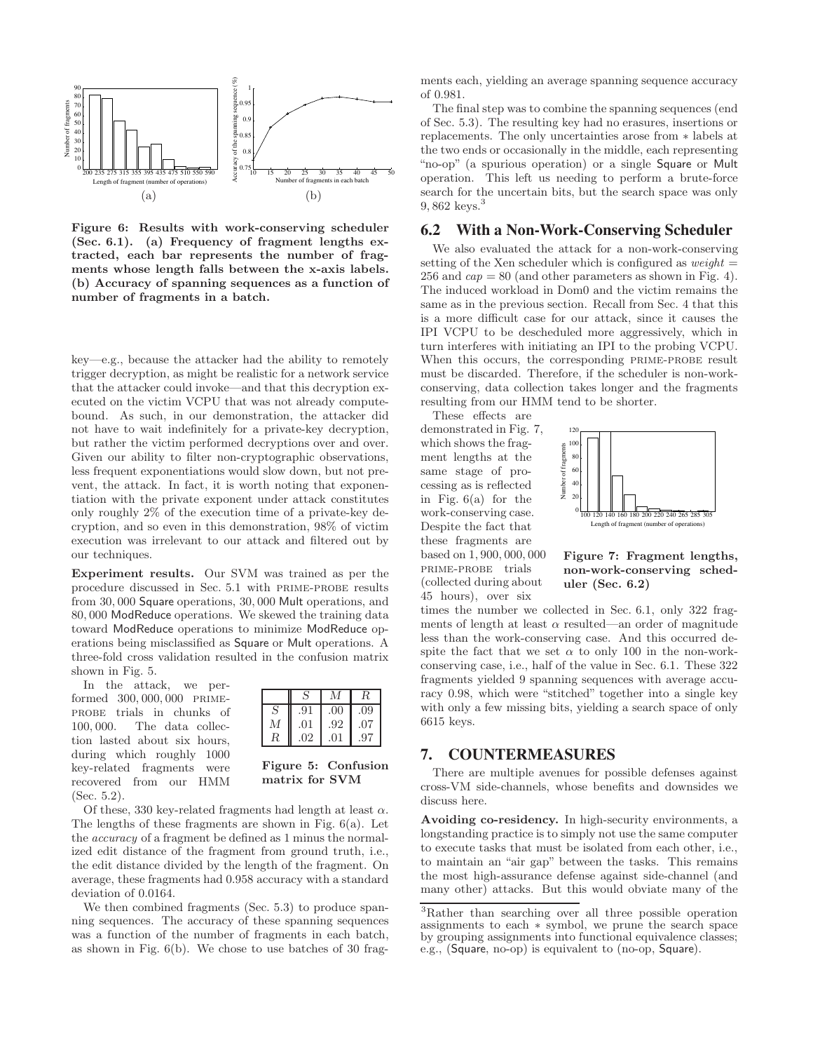

Figure 6: Results with work-conserving scheduler (Sec. 6.1). (a) Frequency of fragment lengths extracted, each bar represents the number of fragments whose length falls between the x-axis labels. (b) Accuracy of spanning sequences as a function of number of fragments in a batch.

key—e.g., because the attacker had the ability to remotely trigger decryption, as might be realistic for a network service that the attacker could invoke—and that this decryption executed on the victim VCPU that was not already computebound. As such, in our demonstration, the attacker did not have to wait indefinitely for a private-key decryption, but rather the victim performed decryptions over and over. Given our ability to filter non-cryptographic observations, less frequent exponentiations would slow down, but not prevent, the attack. In fact, it is worth noting that exponentiation with the private exponent under attack constitutes only roughly 2% of the execution time of a private-key decryption, and so even in this demonstration, 98% of victim execution was irrelevant to our attack and filtered out by our techniques.

Experiment results. Our SVM was trained as per the procedure discussed in Sec. 5.1 with prime-probe results from 30, 000 Square operations, 30, 000 Mult operations, and 80, 000 ModReduce operations. We skewed the training data toward ModReduce operations to minimize ModReduce operations being misclassified as Square or Mult operations. A three-fold cross validation resulted in the confusion matrix shown in Fig. 5.

In the attack, we performed 300, 000, 000 primeprobe trials in chunks of 100, 000. The data collection lasted about six hours, during which roughly 1000 key-related fragments were recovered from our HMM (Sec. 5.2).



Figure 5: Confusion matrix for SVM

Of these, 330 key-related fragments had length at least  $\alpha$ . The lengths of these fragments are shown in Fig. 6(a). Let the *accuracy* of a fragment be defined as 1 minus the normalized edit distance of the fragment from ground truth, i.e., the edit distance divided by the length of the fragment. On average, these fragments had 0.958 accuracy with a standard deviation of 0.0164.

We then combined fragments (Sec. 5.3) to produce spanning sequences. The accuracy of these spanning sequences was a function of the number of fragments in each batch, as shown in Fig. 6(b). We chose to use batches of 30 fragments each, yielding an average spanning sequence accuracy of 0.981.

The final step was to combine the spanning sequences (end of Sec. 5.3). The resulting key had no erasures, insertions or replacements. The only uncertainties arose from ∗ labels at the two ends or occasionally in the middle, each representing "no-op" (a spurious operation) or a single Square or Mult operation. This left us needing to perform a brute-force search for the uncertain bits, but the search space was only  $9,862 \text{ keys.}$ <sup>3</sup>

#### **6.2 With a Non-Work-Conserving Scheduler**

We also evaluated the attack for a non-work-conserving setting of the Xen scheduler which is configured as *weight* = 256 and  $cap = 80$  (and other parameters as shown in Fig. 4). The induced workload in Dom0 and the victim remains the same as in the previous section. Recall from Sec. 4 that this is a more difficult case for our attack, since it causes the IPI VCPU to be descheduled more aggressively, which in turn interferes with initiating an IPI to the probing VCPU. When this occurs, the corresponding PRIME-PROBE result must be discarded. Therefore, if the scheduler is non-workconserving, data collection takes longer and the fragments resulting from our HMM tend to be shorter.

These effects are demonstrated in Fig. 7, which shows the fragment lengths at the same stage of processing as is reflected in Fig. 6(a) for the work-conserving case. Despite the fact that these fragments are based on 1, 900, 000, 000 prime-probe trials (collected during about 45 hours), over six



Figure 7: Fragment lengths, non-work-conserving scheduler (Sec. 6.2)

times the number we collected in Sec. 6.1, only 322 fragments of length at least  $\alpha$  resulted—an order of magnitude less than the work-conserving case. And this occurred despite the fact that we set  $\alpha$  to only 100 in the non-workconserving case, i.e., half of the value in Sec. 6.1. These 322 fragments yielded 9 spanning sequences with average accuracy 0.98, which were "stitched" together into a single key with only a few missing bits, yielding a search space of only 6615 keys.

# **7. COUNTERMEASURES**

There are multiple avenues for possible defenses against cross-VM side-channels, whose benefits and downsides we discuss here.

Avoiding co-residency. In high-security environments, a longstanding practice is to simply not use the same computer to execute tasks that must be isolated from each other, i.e., to maintain an "air gap" between the tasks. This remains the most high-assurance defense against side-channel (and many other) attacks. But this would obviate many of the

<sup>3</sup>Rather than searching over all three possible operation assignments to each ∗ symbol, we prune the search space by grouping assignments into functional equivalence classes; e.g., (Square, no-op) is equivalent to (no-op, Square).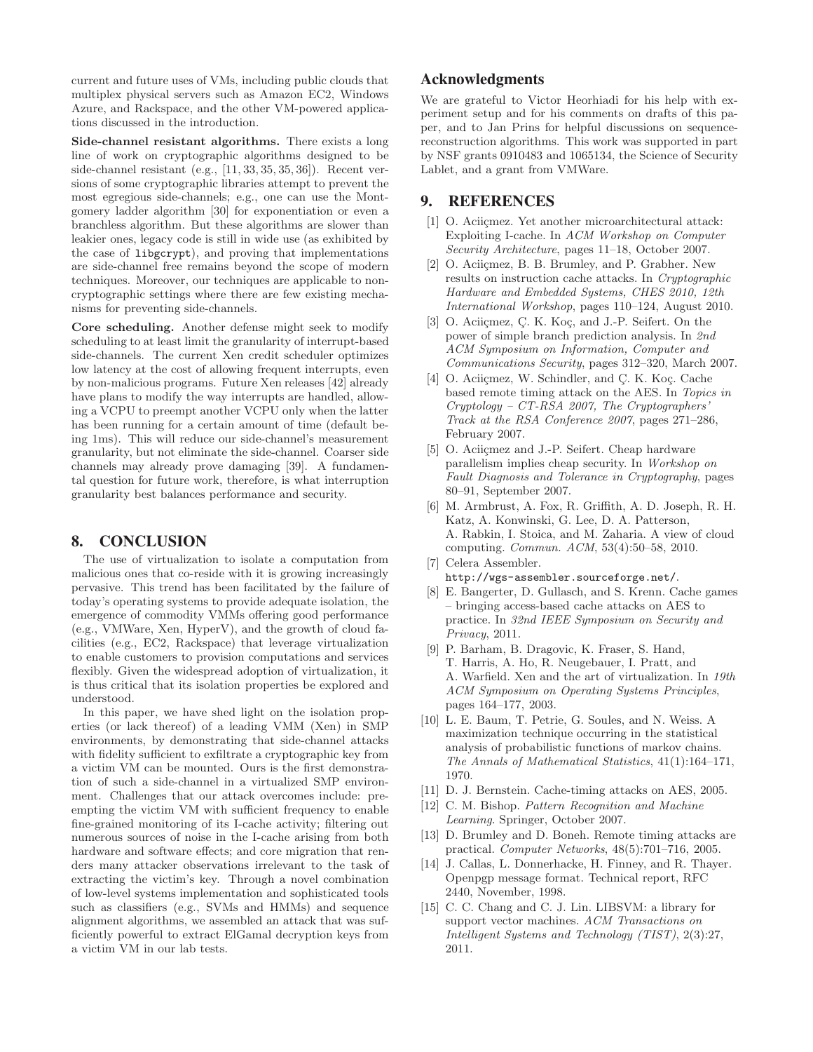current and future uses of VMs, including public clouds that multiplex physical servers such as Amazon EC2, Windows Azure, and Rackspace, and the other VM-powered applications discussed in the introduction.

Side-channel resistant algorithms. There exists a long line of work on cryptographic algorithms designed to be side-channel resistant (e.g., [11, 33, 35, 35, 36]). Recent versions of some cryptographic libraries attempt to prevent the most egregious side-channels; e.g., one can use the Montgomery ladder algorithm [30] for exponentiation or even a branchless algorithm. But these algorithms are slower than leakier ones, legacy code is still in wide use (as exhibited by the case of libgcrypt), and proving that implementations are side-channel free remains beyond the scope of modern techniques. Moreover, our techniques are applicable to noncryptographic settings where there are few existing mechanisms for preventing side-channels.

Core scheduling. Another defense might seek to modify scheduling to at least limit the granularity of interrupt-based side-channels. The current Xen credit scheduler optimizes low latency at the cost of allowing frequent interrupts, even by non-malicious programs. Future Xen releases [42] already have plans to modify the way interrupts are handled, allowing a VCPU to preempt another VCPU only when the latter has been running for a certain amount of time (default being 1ms). This will reduce our side-channel's measurement granularity, but not eliminate the side-channel. Coarser side channels may already prove damaging [39]. A fundamental question for future work, therefore, is what interruption granularity best balances performance and security.

# **8. CONCLUSION**

The use of virtualization to isolate a computation from malicious ones that co-reside with it is growing increasingly pervasive. This trend has been facilitated by the failure of today's operating systems to provide adequate isolation, the emergence of commodity VMMs offering good performance (e.g., VMWare, Xen, HyperV), and the growth of cloud facilities (e.g., EC2, Rackspace) that leverage virtualization to enable customers to provision computations and services flexibly. Given the widespread adoption of virtualization, it is thus critical that its isolation properties be explored and understood.

In this paper, we have shed light on the isolation properties (or lack thereof) of a leading VMM (Xen) in SMP environments, by demonstrating that side-channel attacks with fidelity sufficient to exfiltrate a cryptographic key from a victim VM can be mounted. Ours is the first demonstration of such a side-channel in a virtualized SMP environment. Challenges that our attack overcomes include: preempting the victim VM with sufficient frequency to enable fine-grained monitoring of its I-cache activity; filtering out numerous sources of noise in the I-cache arising from both hardware and software effects; and core migration that renders many attacker observations irrelevant to the task of extracting the victim's key. Through a novel combination of low-level systems implementation and sophisticated tools such as classifiers (e.g., SVMs and HMMs) and sequence alignment algorithms, we assembled an attack that was sufficiently powerful to extract ElGamal decryption keys from a victim VM in our lab tests.

# **Acknowledgments**

We are grateful to Victor Heorhiadi for his help with experiment setup and for his comments on drafts of this paper, and to Jan Prins for helpful discussions on sequencereconstruction algorithms. This work was supported in part by NSF grants 0910483 and 1065134, the Science of Security Lablet, and a grant from VMWare.

# **9. REFERENCES**

- [1] O. Aciiçmez. Yet another microarchitectural attack: Exploiting I-cache. In *ACM Workshop on Computer Security Architecture*, pages 11–18, October 2007.
- [2] O. Aciiçmez, B. B. Brumley, and P. Grabher. New results on instruction cache attacks. In *Cryptographic Hardware and Embedded Systems, CHES 2010, 12th International Workshop*, pages 110–124, August 2010.
- [3] O. Aciiçmez, Ç. K. Koç, and J.-P. Seifert. On the power of simple branch prediction analysis. In *2nd ACM Symposium on Information, Computer and Communications Security*, pages 312–320, March 2007.
- [4] O. Aciiçmez, W. Schindler, and C. K. Koç. Cache based remote timing attack on the AES. In *Topics in Cryptology – CT-RSA 2007, The Cryptographers' Track at the RSA Conference 2007*, pages 271–286, February 2007.
- [5] O. Aciicmez and J.-P. Seifert. Cheap hardware parallelism implies cheap security. In *Workshop on Fault Diagnosis and Tolerance in Cryptography*, pages 80–91, September 2007.
- [6] M. Armbrust, A. Fox, R. Griffith, A. D. Joseph, R. H. Katz, A. Konwinski, G. Lee, D. A. Patterson, A. Rabkin, I. Stoica, and M. Zaharia. A view of cloud computing. *Commun. ACM*, 53(4):50–58, 2010.
- [7] Celera Assembler. http://wgs-assembler.sourceforge.net/.
- [8] E. Bangerter, D. Gullasch, and S. Krenn. Cache games – bringing access-based cache attacks on AES to practice. In *32nd IEEE Symposium on Security and Privacy*, 2011.
- [9] P. Barham, B. Dragovic, K. Fraser, S. Hand, T. Harris, A. Ho, R. Neugebauer, I. Pratt, and A. Warfield. Xen and the art of virtualization. In *19th ACM Symposium on Operating Systems Principles*, pages 164–177, 2003.
- [10] L. E. Baum, T. Petrie, G. Soules, and N. Weiss. A maximization technique occurring in the statistical analysis of probabilistic functions of markov chains. *The Annals of Mathematical Statistics*, 41(1):164–171, 1970.
- [11] D. J. Bernstein. Cache-timing attacks on AES, 2005.
- [12] C. M. Bishop. *Pattern Recognition and Machine Learning*. Springer, October 2007.
- [13] D. Brumley and D. Boneh. Remote timing attacks are practical. *Computer Networks*, 48(5):701–716, 2005.
- [14] J. Callas, L. Donnerhacke, H. Finney, and R. Thayer. Openpgp message format. Technical report, RFC 2440, November, 1998.
- [15] C. C. Chang and C. J. Lin. LIBSVM: a library for support vector machines. *ACM Transactions on Intelligent Systems and Technology (TIST)*, 2(3):27, 2011.